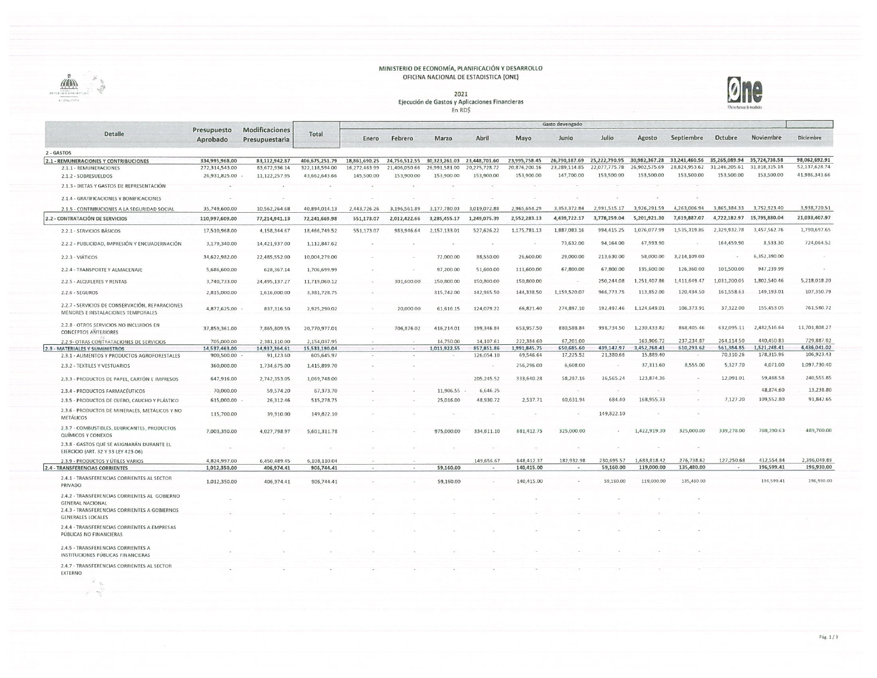## MINISTERIO DE ECONOMÍA, PLANIFICACIÓN Y DESARROLLO<br>OFICINA NACIONAL DE ESTADISTICA (ONE)





2021<br>Ejecución de Gastos y Aplicaciones Financieras  $En RD$ \$

|                                                                                                      |                         |                                  |                |               |                                                         |               |               |               | Gasto devengado |               |               |                                                         |                             |               |               |
|------------------------------------------------------------------------------------------------------|-------------------------|----------------------------------|----------------|---------------|---------------------------------------------------------|---------------|---------------|---------------|-----------------|---------------|---------------|---------------------------------------------------------|-----------------------------|---------------|---------------|
| Detalle                                                                                              | Presupuesto<br>Aprobado | Modificaciones<br>Presupuestaria | Total          | Enero         | Febrero                                                 | Marzo         | Abril         | Mayo          | Junio           | Julio         | Agosto        | Septiembre                                              | Octubre                     | Noviembre     | Diclembre     |
| 2 - GASTOS                                                                                           |                         |                                  |                |               |                                                         |               |               |               |                 |               |               |                                                         |                             |               |               |
| 2.1 - REMUNERACIONES Y CONTRIBUCIONES                                                                | 334,995,968.00          | 83,112,942.87                    | 406,675,251.79 |               | 18.861.690.25 24.756.512.55 30.323.261.03 23.448.701.60 |               |               | 23,995,758.45 |                 |               |               | 26,790,187.69 25,222,790.95 30,982,367.28 33,241,460.56 | 35,265,089.94 35,724,738.58 |               | 98,062,692.91 |
| 2.1.1 - REMUNERACIONES                                                                               | 272,314,543.00          | 83,672,936.14                    | 322,118,594.00 | 16,272,463.99 | 21,406,050.66                                           | 26,991,581.00 | 20,275,728.72 | 20,876,200.16 | 23,289,114.85   | 22,077,775.78 | 26,902,575.69 | 28,824,953.62                                           | 31.246.205.61               | 31,818,315.18 | 52,137,628.74 |
| 2.1.2 - SOBRESUELDOS                                                                                 | 26,931,825.00           | 11,122,257.95                    | 43,662,643.66  | 145,500.00    | 153,900.00                                              | 153,900.00    | 153,900.00    | 153,900.00    | 147,700.00      | 153,500.00    | 153,500.00    | 153,500.00                                              | 153,500.00                  | 153,500.00    | 41,986,343.66 |
| 2.1.3 - DIETAS Y GASTOS DE REPRESENTACIÓN                                                            |                         |                                  |                |               |                                                         |               |               |               |                 |               |               |                                                         |                             |               |               |
| 2.1.4 - GRATIFICACIONES Y BONIFICACIONES                                                             |                         |                                  |                |               |                                                         |               |               |               |                 |               |               |                                                         |                             |               |               |
| 2.1.5 - CONTRIBUCIONES A LA SEGURIDAD SOCIAL                                                         | 35,749,600.00           | 10,562,264.68                    | 40,894,014.13  | 2,443,726.26  | 3,196,561.89                                            | 3.177.780.03  | 3.019.072.88  | 2,965,658.29  | 3.353.372.84    | 2.991.515.17  | 3,926,291.59  | 4,263,006.94                                            | 3,865,384.33                | 3,752,923.40  | 3,938,720.51  |
| 2.2 - CONTRATACIÓN DE SERVICIOS                                                                      | 110,997,609.00          | 77,214,941.13                    | 72,241,669.98  | 551,173.07    | 2,012,422.66                                            | 3.285.455.17  | 1,249,075.39  | 2,552,283.13  | 4,439,722.17    | 3,778,259.04  | 5,201,921.30  | 7,619,887.07                                            | 4,722,182.97                | 15,795,880.04 | 21,033,407.97 |
| 2.2.1 - SERVICIOS BÁSICOS                                                                            | 17,510,968.00           | 4,158,344.67                     | 18,466,749.52  | 551,173.07    | 983,946.64                                              | 2,157,133.01  | 527,626.22    | 1,175,781.13  | 1,887,083.16    | 994,415.25    | 1,076,077.99  | 1,535,319.86                                            | 2,329,932.78                | 3,457,562.76  | 1,790,697.65  |
| 2.2.2 - PUBLICIDAD, IMPRESIÓN Y ENCUADERNACIÓN                                                       | 3,179,340.00            | 14,421,937.00                    | 1,112,847.62   |               |                                                         |               |               |               | 73,632.00       | 94,164.00     | 47,993.90     |                                                         | 164,459.90                  | 8,533.30      | 724,064.52    |
| 2.2.3 - VIÁTICOS                                                                                     | 34,622,982.00           | 22,485,552.00                    | 10,004,279.00  |               |                                                         | 72,000.00     | 38,550.00     | 26,600.00     | 29,000.00       | 213,630.00    | 58,000.00     | 3,214,109.00                                            | Call                        | 6,352,390.00  |               |
| 2.2.4 - TRANSPORTE Y ALMACENAJE                                                                      | 5,686,600.00            | 628,367.14                       | 1,706,699.99   |               |                                                         | 97,200.00     | 51,600.00     | 111,600.00    | 67,800.00       | 67,800.00     | 135,600.00    | 126,360.00                                              | 101,500.00                  | 947,239.99    |               |
| 2.2.5 - ALQUILERES Y RENTAS                                                                          | 3,740,733.00            | 24,495,137.27                    | 11,719,060.12  |               | 301,600.00                                              | 150,800.00    | 150,800.00    | 150,800.00    |                 | 250,244.08    | 1,251,407.86  | 1,411,649.47                                            | 1,031,200.05                | 1,802,540.46  | 5,218,018.20  |
| $2.2.6 - SEGUROS$                                                                                    | 2,815,000.00            | 1,616,000.00                     | 3,381,728.75   |               |                                                         | 315,742.00    | 142,965.50    | 144,338.50    | 1,159,520.07    | 966,773.75    | 113,852.00    | 120,434.50                                              | 161,558.63                  | 149,193.01    | 107,350.79    |
| 2.2.7 - SERVICIOS DE CONSERVACIÓN, REPARACIONES<br>MENORES E INSTALACIONES TEMPORALES                | 4,877,625.00 -          | 837,316.50                       | 2,925,290.02   |               | 20,000.00                                               | 61,616.15     | 124,079.22    | 66,821.40     | 274,897.10      | 192,497.46    | 1,124,649.01  | 106,373.91                                              | 37,322.00                   | 155,453.05    | 761,580.72    |
| 2.2.8 - OTROS SERVICIOS NO INCLUIDOS EN<br><b>CONCEPTOS ANTERIORES</b>                               | 37,859,361.00           | 7,865,809.55                     | 20,770,977.01  |               | 706,876.02                                              | 416,214.01    | 199,346.84    | 653,957.50    | 880,588.84      | 998,734.50    | 1,230,433.82  | 868,405.46                                              | 632,095.11                  | 2,482,516.64  | 11,701,808.27 |
| 2.2.9- OTRAS CONTRATACIONES DE SERVICIOS                                                             | 705,000.00              | 2,381,110.00                     | 2,154,037.95   |               |                                                         | 14.750.00     | 14.107.61     | 222,384.60    | 67,201.00       |               | 163,906.72    | 237,234.87                                              | 264,114.50                  | 440,450.83    | 729,887.82    |
| 2.3 - MATERIALES Y SUMINISTROS                                                                       | 14,537,463.00           | 14,937,364.61                    | 15,533,190.04  |               | $\sim$                                                  | 1,011,922.55  | 857,851.86    | 1,991,845.75  | 650,685.60      | 439,147.97    | 3,452,768.41  | 610,293.62                                              | 561,384.85                  | 1,521,248.41  | 4,436,041.02  |
| 2.3.1 - ALIMENTOS Y PRODUCTOS AGROFORESTALES                                                         | 900,500.00              | 91,123.60                        | 605,645.97     |               |                                                         |               | 126,054.10    | 69,546.64     | 17,225.52       | 21,380.66     | 15,889.40     |                                                         | 70,310.26                   | 178,315.96    | 106,923.43    |
| 2.3.2 - TEXTILES Y VESTUARIOS                                                                        | 360,000.00              | 1,734,675.00                     | 1,415,899.70   |               |                                                         |               |               | 256,296.00    | 6,608.00        |               | 37,311.60     | 8,555.00                                                | 5,327.70                    | 4,071.00      | 1,097,730.40  |
| 2.3.3 - PRODUCTOS DE PAPEL, CARTÓN E IMPRESOS                                                        | 647,916.00              | 2,742,353.05                     | 1,069,748.00   |               |                                                         |               | 205,245.52    | 333,640.28    | 58,287.16       | 36,565.24     | 123,874.36    |                                                         | 12,091.01                   | 59,488.58     | 240,555.85    |
| 2.3.4 - PRODUCTOS FARMACÉUTICOS                                                                      | 70,000.00               | 59,574.20                        | 67,373.70      |               |                                                         | 11,906.55     | 6,646.25      |               |                 |               |               |                                                         |                             | 48,874.60     | 13,238.80     |
| 2.3.5 - PRODUCTOS DE CUERO, CAUCHO Y PLÁSTICO                                                        | 615,000.00              | 26,312.46                        | 515,278.75     |               |                                                         | 25,016.00     | 48,930.72     | 2,537.71      | 60,631.94       | 684.40        | 168,955.33    |                                                         | 7,127.20                    | 109,552.80    | 91,842.65     |
| 2.3.6 - PRODUCTOS DE MINERALES, METÁLICOS Y NO<br><b>METALICOS</b>                                   | 115,700.00              | 39,910.00                        | 149,822.10     |               |                                                         |               |               |               |                 | 149,822.10    |               |                                                         |                             |               |               |
| 2.3.7 - COMBUSTIBLES, LUBRICANTES, PRODUCTOS<br>QUÍMICOS Y CONEXOS                                   | 7,003,350.00            | 4,027,798.97                     | 5,601,311.78   |               |                                                         | 975,000.00    | 334,611.10    | 681,412.75    | 325,000.00      |               | 1,422,919.30  | 325,000.00                                              | 339,278.00                  | 708,390.63    | 489,700.00    |
| 2.3.8 - GASTOS QUE SE ASIGNARÁN DURANTE EL<br>EJERCICIO (ART. 32 Y 33 LEY 423-06)                    |                         |                                  |                |               |                                                         |               |               |               |                 |               |               |                                                         |                             |               |               |
| 2.3.9 - PRODUCTOS Y ÚTILES VARIOS                                                                    | 4,824,997.00            | 6,450,489.45                     | 6,108,110.04   |               |                                                         |               | 149,656.67    | 648,412.37    | 182,932.98      | 230,695.57    | 1,683,818.42  | 276,738.62                                              | 127,250.68                  | 412,554.84    | 2,396,049.89  |
| 2.4 - TRANSFERENCIAS CORRIENTES                                                                      | 1,012,350.00            | 406,974.41                       | 906,744.41     | $\sim$        | $\sim$                                                  | 59,160.00     | $\sim$        | 140,415.00    | $\sim$          | 59,160.00     | 119,000.00    | 135,480.00                                              |                             | 196,599.41    | 196,930.00    |
| 2.4.1 - TRANSFERENCIAS CORRIENTES AL SECTOR<br>PRIVADO                                               | 1,012,350.00            | 406,974.41                       | 906,744.41     |               |                                                         | 59,160.00     |               | 140,415.00    |                 | 59,160.00     | 119,000.00    | 135,480.00                                              |                             | 196,599.41    | 196,930.00    |
| 2.4.2 - TRANSFERENCIAS CORRIENTES AL GOBIERNO                                                        |                         |                                  |                |               |                                                         |               |               |               |                 |               |               |                                                         |                             |               |               |
| <b>GENERAL NACIONAL</b><br>2.4.3 - TRANSFERENCIAS CORRIENTES A GOBIERNOS<br><b>GENERALES LOCALES</b> |                         |                                  |                |               |                                                         |               |               |               |                 |               |               |                                                         |                             |               |               |
| 2.4.4 - TRANSFERENCIAS CORRIENTES A EMPRESAS<br>PUBLICAS NO FINANCIERAS                              |                         |                                  |                |               |                                                         |               |               |               |                 |               |               |                                                         |                             |               |               |
| 2.4.5 - TRANSFERENCIAS CORRIENTES A<br>INSTITUCIONES PÚBLICAS FINANCIERAS                            |                         |                                  |                |               |                                                         |               |               |               |                 |               |               |                                                         |                             |               |               |
| 2.4.7 - TRANSFERENCIAS CORRIENTES AL SECTOR<br><b>EXTERNO</b>                                        |                         |                                  |                |               |                                                         |               |               |               |                 |               |               |                                                         |                             |               |               |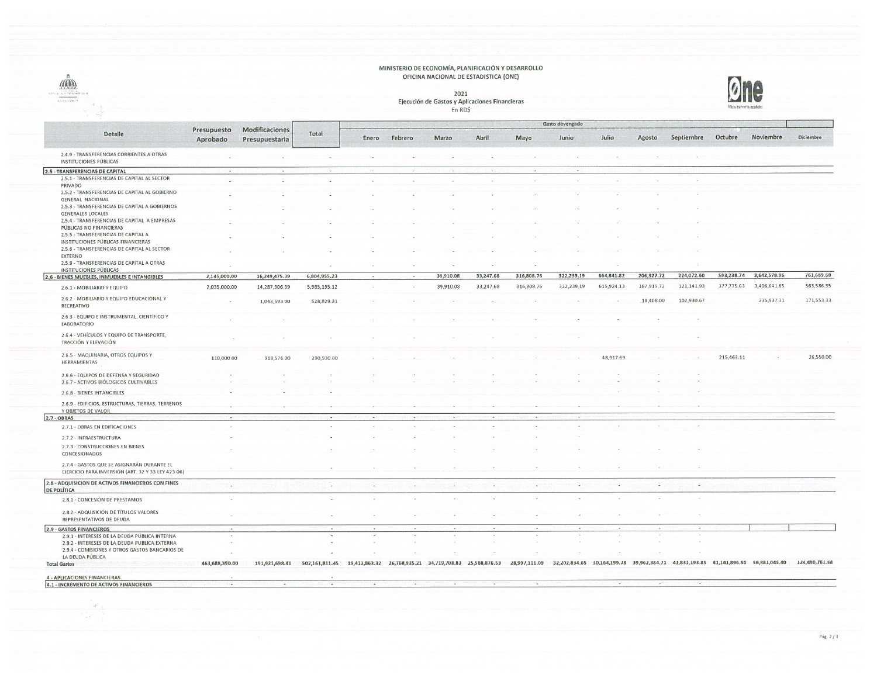## MINISTERIO DE ECONOMÍA, PLANIFICACIÓN Y DESARROLLO<br>OFICINA NACIONAL DE ESTADISTICA (ONE)



 $\label{eq:2.1} \begin{array}{c} \mathcal{R}(\lambda) \\ \mathcal{R}(\lambda) \\ \mathcal{R}(\lambda) \\ \mathcal{R}(\lambda) \\ \mathcal{R}(\lambda) \end{array}$ 

2021<br>Ejecución de Gastos y Aplicaciones Financieras  $En RD$ \$



| Modificaciones<br>Presupuesto<br>Detalle<br>Total<br>Julio<br>Octubre<br>Noviembre<br>Diciembre<br>Abril<br>Mayo<br>Junio<br>Agosto<br>Septiembre<br>Enero<br>Febrero<br>Marzo<br>Aprobado<br>Presupuestaria<br>2.4.9 - TRANSFERENCIAS CORRIENTES A OTRAS<br><b>INSTITUCIONES PÚBLICAS</b><br>2.5 - TRANSFERENCIAS DE CAPITAL<br>$\ddot{\phantom{a}}$<br>$\sim$<br>$\sim$<br>$\sim$<br>$\sim$<br>$\hat{\phantom{a}}$<br>2.5.1 - TRANSFERENCIAS DE CAPITAL AL SECTOR<br>PRIVADO<br>2.5.2 - TRANSFERENCIAS DE CAPITAL AL GOBIERNO<br>GENERAL NACIONAL<br>2.5.3 - TRANSFERENCIAS DE CAPITAL A GOBIERNOS<br><b>GENERALES LOCALES</b><br>2.5.4 - TRANSFERENCIAS DE CAPITAL A EMPRESAS<br>PÚBLICAS NO FINANCIERAS<br>2.5.5 - TRANSFERENCIAS DE CAPITAL A<br>INSTITUCIONES PÚBLICAS FINANCIERAS<br>2.5.6 - TRANSFERENCIAS DE CAPITAL AL SECTOR<br><b>EXTERNO</b><br>2.5.9 - TRANSFERENCIAS DE CAPITAL A OTRAS<br><b>INSTITUCIONES PÚBLICAS</b><br>224,072.60<br>593,238.74 3,642,578.96<br>664,841.82<br>206,327.72<br>322,239.19<br>16,249,475.39<br>6,804,955.23<br>39,910.08<br>33,247.68<br>316,808.76<br>2,145,000.00<br>2.6 - BIENES MUEBLES, INMUEBLES E INTANGIBLES<br>377,775.63<br>3,406,641.65<br>187,919.72<br>121,141.93<br>33,247.68<br>316,808.76<br>322,239.19<br>615,924.13<br>2,035,000.00<br>14,287,306.39<br>5,985,195.12<br>39,910.08<br>2.6.1 - MOBILIARIO Y EQUIPO<br>2.6.2 - MOBILIARIO Y EQUIPO EDUCACIONAL Y<br>235,937.31<br>102,930.67<br>18,408.00<br>1,043,593.00<br>528,829.31<br>RECREATIVO<br>2.6.3 - EQUIPO E INSTRUMENTAL, CIENTÍFICO Y<br>LABORATORIO<br>2.6.4 - VEHÍCULOS Y EQUIPO DE TRANSPORTE,<br>TRACCIÓN Y ELEVACIÓN<br>2.6.5 - MAQUINARIA, OTROS EQUIPOS Y<br>48,917.69<br>215,463.11<br>110,000.00<br>918,576.00<br>290,930.80<br>HERRAMIENTAS<br>2.6.6 - EQUIPOS DE DEFENSA Y SEGURIDAD<br>2.6.7 - ACTIVOS BIÓLOGICOS CULTIVABLES<br>2.6.8 - BIENES INTANGIBLES<br>2.6.9 - EDIFICIOS, ESTRUCTURAS, TIERRAS, TERRENOS<br>Y OBJETOS DE VALOR<br>2.7 - OBRAS<br>2.7.1 - OBRAS EN EDIFICACIONES<br>2.7.2 - INFRAESTRUCTURA<br>2.7.3 - CONSTRUCCIONES EN BIENES<br>CONCESIONADOS<br>2.7.4 - GASTOS QUE SE ASIGNARÁN DURANTE EL<br>EJERCICIO PARA INVERSIÓN (ART. 32 Y 33 LEY 423-06)<br>2.8 - ADQUISICION DE ACTIVOS FINANCIEROS CON FINES<br>$\sim$<br>$\overline{\phantom{a}}$<br>. .<br>$\sim$<br>$\ddot{\phantom{a}}$<br>$\sim$<br>$\ddot{\phantom{0}}$<br>$\sim$<br>$\;$<br>-<br>$\sim$<br><b>DE POLÍTICA</b><br>$\alpha$<br>2.8.1 - CONCESIÓN DE PRESTAMOS<br>Ser.<br>2.8.2 - ADQUISICIÓN DE TÍTULOS VALORES<br>REPRESENTATIVOS DE DEUDA<br>2.9 - GASTOS FINANCIEROS<br>$\omega$<br>$\sim$<br>$\sim$<br>$\sim$<br>v.<br>n.<br>$\sim$<br>$\sim$<br>2.9.1 - INTERESES DE LA DEUDA PÚBLICA INTERNA<br>$\sim$<br>$\sim$<br><b>1999</b><br>2.9.2 - INTERESES DE LA DEUDA PUBLICA EXTERNA<br>2.9.4 - COMISIONES Y OTROS GASTOS BANCARIOS DE<br>LA DEUDA PÚBLICA<br>19,412,863.32 26,768,935.21 34,719,708.83 25,588,876.53 28,997,111.09 32,202,834.65 30,164,199.78 39,962,384.71 41,831,193.85 41,141,896.50 56,881,045.40 124,490,761.58<br>463,688,390.00<br>191,921,698.41<br>502,161,811.45<br><b>Total Gastos</b><br><b>4 - APLICACIONES FINANCIERAS</b><br>4.1 - INCREMENTO DE ACTIVOS FINANCIEROS<br>- - |  |  | Gasto devengado |  |  |  |  |  |  |  |  |  |  |            |
|----------------------------------------------------------------------------------------------------------------------------------------------------------------------------------------------------------------------------------------------------------------------------------------------------------------------------------------------------------------------------------------------------------------------------------------------------------------------------------------------------------------------------------------------------------------------------------------------------------------------------------------------------------------------------------------------------------------------------------------------------------------------------------------------------------------------------------------------------------------------------------------------------------------------------------------------------------------------------------------------------------------------------------------------------------------------------------------------------------------------------------------------------------------------------------------------------------------------------------------------------------------------------------------------------------------------------------------------------------------------------------------------------------------------------------------------------------------------------------------------------------------------------------------------------------------------------------------------------------------------------------------------------------------------------------------------------------------------------------------------------------------------------------------------------------------------------------------------------------------------------------------------------------------------------------------------------------------------------------------------------------------------------------------------------------------------------------------------------------------------------------------------------------------------------------------------------------------------------------------------------------------------------------------------------------------------------------------------------------------------------------------------------------------------------------------------------------------------------------------------------------------------------------------------------------------------------------------------------------------------------------------------------------------------------------------------------------------------------------------------------------------------------------------------------------------------------------------------------------------------------------------------------------------------------------------------------------------------------------------------------------------------------------------------------------------------------------------------------------------------------------------------------------------------------------------------------------------------------------------------------|--|--|-----------------|--|--|--|--|--|--|--|--|--|--|------------|
|                                                                                                                                                                                                                                                                                                                                                                                                                                                                                                                                                                                                                                                                                                                                                                                                                                                                                                                                                                                                                                                                                                                                                                                                                                                                                                                                                                                                                                                                                                                                                                                                                                                                                                                                                                                                                                                                                                                                                                                                                                                                                                                                                                                                                                                                                                                                                                                                                                                                                                                                                                                                                                                                                                                                                                                                                                                                                                                                                                                                                                                                                                                                                                                                                                                    |  |  |                 |  |  |  |  |  |  |  |  |  |  |            |
|                                                                                                                                                                                                                                                                                                                                                                                                                                                                                                                                                                                                                                                                                                                                                                                                                                                                                                                                                                                                                                                                                                                                                                                                                                                                                                                                                                                                                                                                                                                                                                                                                                                                                                                                                                                                                                                                                                                                                                                                                                                                                                                                                                                                                                                                                                                                                                                                                                                                                                                                                                                                                                                                                                                                                                                                                                                                                                                                                                                                                                                                                                                                                                                                                                                    |  |  |                 |  |  |  |  |  |  |  |  |  |  |            |
|                                                                                                                                                                                                                                                                                                                                                                                                                                                                                                                                                                                                                                                                                                                                                                                                                                                                                                                                                                                                                                                                                                                                                                                                                                                                                                                                                                                                                                                                                                                                                                                                                                                                                                                                                                                                                                                                                                                                                                                                                                                                                                                                                                                                                                                                                                                                                                                                                                                                                                                                                                                                                                                                                                                                                                                                                                                                                                                                                                                                                                                                                                                                                                                                                                                    |  |  |                 |  |  |  |  |  |  |  |  |  |  |            |
|                                                                                                                                                                                                                                                                                                                                                                                                                                                                                                                                                                                                                                                                                                                                                                                                                                                                                                                                                                                                                                                                                                                                                                                                                                                                                                                                                                                                                                                                                                                                                                                                                                                                                                                                                                                                                                                                                                                                                                                                                                                                                                                                                                                                                                                                                                                                                                                                                                                                                                                                                                                                                                                                                                                                                                                                                                                                                                                                                                                                                                                                                                                                                                                                                                                    |  |  |                 |  |  |  |  |  |  |  |  |  |  |            |
|                                                                                                                                                                                                                                                                                                                                                                                                                                                                                                                                                                                                                                                                                                                                                                                                                                                                                                                                                                                                                                                                                                                                                                                                                                                                                                                                                                                                                                                                                                                                                                                                                                                                                                                                                                                                                                                                                                                                                                                                                                                                                                                                                                                                                                                                                                                                                                                                                                                                                                                                                                                                                                                                                                                                                                                                                                                                                                                                                                                                                                                                                                                                                                                                                                                    |  |  |                 |  |  |  |  |  |  |  |  |  |  |            |
|                                                                                                                                                                                                                                                                                                                                                                                                                                                                                                                                                                                                                                                                                                                                                                                                                                                                                                                                                                                                                                                                                                                                                                                                                                                                                                                                                                                                                                                                                                                                                                                                                                                                                                                                                                                                                                                                                                                                                                                                                                                                                                                                                                                                                                                                                                                                                                                                                                                                                                                                                                                                                                                                                                                                                                                                                                                                                                                                                                                                                                                                                                                                                                                                                                                    |  |  |                 |  |  |  |  |  |  |  |  |  |  |            |
|                                                                                                                                                                                                                                                                                                                                                                                                                                                                                                                                                                                                                                                                                                                                                                                                                                                                                                                                                                                                                                                                                                                                                                                                                                                                                                                                                                                                                                                                                                                                                                                                                                                                                                                                                                                                                                                                                                                                                                                                                                                                                                                                                                                                                                                                                                                                                                                                                                                                                                                                                                                                                                                                                                                                                                                                                                                                                                                                                                                                                                                                                                                                                                                                                                                    |  |  |                 |  |  |  |  |  |  |  |  |  |  |            |
|                                                                                                                                                                                                                                                                                                                                                                                                                                                                                                                                                                                                                                                                                                                                                                                                                                                                                                                                                                                                                                                                                                                                                                                                                                                                                                                                                                                                                                                                                                                                                                                                                                                                                                                                                                                                                                                                                                                                                                                                                                                                                                                                                                                                                                                                                                                                                                                                                                                                                                                                                                                                                                                                                                                                                                                                                                                                                                                                                                                                                                                                                                                                                                                                                                                    |  |  |                 |  |  |  |  |  |  |  |  |  |  |            |
|                                                                                                                                                                                                                                                                                                                                                                                                                                                                                                                                                                                                                                                                                                                                                                                                                                                                                                                                                                                                                                                                                                                                                                                                                                                                                                                                                                                                                                                                                                                                                                                                                                                                                                                                                                                                                                                                                                                                                                                                                                                                                                                                                                                                                                                                                                                                                                                                                                                                                                                                                                                                                                                                                                                                                                                                                                                                                                                                                                                                                                                                                                                                                                                                                                                    |  |  |                 |  |  |  |  |  |  |  |  |  |  |            |
|                                                                                                                                                                                                                                                                                                                                                                                                                                                                                                                                                                                                                                                                                                                                                                                                                                                                                                                                                                                                                                                                                                                                                                                                                                                                                                                                                                                                                                                                                                                                                                                                                                                                                                                                                                                                                                                                                                                                                                                                                                                                                                                                                                                                                                                                                                                                                                                                                                                                                                                                                                                                                                                                                                                                                                                                                                                                                                                                                                                                                                                                                                                                                                                                                                                    |  |  |                 |  |  |  |  |  |  |  |  |  |  |            |
|                                                                                                                                                                                                                                                                                                                                                                                                                                                                                                                                                                                                                                                                                                                                                                                                                                                                                                                                                                                                                                                                                                                                                                                                                                                                                                                                                                                                                                                                                                                                                                                                                                                                                                                                                                                                                                                                                                                                                                                                                                                                                                                                                                                                                                                                                                                                                                                                                                                                                                                                                                                                                                                                                                                                                                                                                                                                                                                                                                                                                                                                                                                                                                                                                                                    |  |  |                 |  |  |  |  |  |  |  |  |  |  |            |
|                                                                                                                                                                                                                                                                                                                                                                                                                                                                                                                                                                                                                                                                                                                                                                                                                                                                                                                                                                                                                                                                                                                                                                                                                                                                                                                                                                                                                                                                                                                                                                                                                                                                                                                                                                                                                                                                                                                                                                                                                                                                                                                                                                                                                                                                                                                                                                                                                                                                                                                                                                                                                                                                                                                                                                                                                                                                                                                                                                                                                                                                                                                                                                                                                                                    |  |  |                 |  |  |  |  |  |  |  |  |  |  |            |
|                                                                                                                                                                                                                                                                                                                                                                                                                                                                                                                                                                                                                                                                                                                                                                                                                                                                                                                                                                                                                                                                                                                                                                                                                                                                                                                                                                                                                                                                                                                                                                                                                                                                                                                                                                                                                                                                                                                                                                                                                                                                                                                                                                                                                                                                                                                                                                                                                                                                                                                                                                                                                                                                                                                                                                                                                                                                                                                                                                                                                                                                                                                                                                                                                                                    |  |  |                 |  |  |  |  |  |  |  |  |  |  | 761,689.68 |
|                                                                                                                                                                                                                                                                                                                                                                                                                                                                                                                                                                                                                                                                                                                                                                                                                                                                                                                                                                                                                                                                                                                                                                                                                                                                                                                                                                                                                                                                                                                                                                                                                                                                                                                                                                                                                                                                                                                                                                                                                                                                                                                                                                                                                                                                                                                                                                                                                                                                                                                                                                                                                                                                                                                                                                                                                                                                                                                                                                                                                                                                                                                                                                                                                                                    |  |  |                 |  |  |  |  |  |  |  |  |  |  | 563,586.35 |
|                                                                                                                                                                                                                                                                                                                                                                                                                                                                                                                                                                                                                                                                                                                                                                                                                                                                                                                                                                                                                                                                                                                                                                                                                                                                                                                                                                                                                                                                                                                                                                                                                                                                                                                                                                                                                                                                                                                                                                                                                                                                                                                                                                                                                                                                                                                                                                                                                                                                                                                                                                                                                                                                                                                                                                                                                                                                                                                                                                                                                                                                                                                                                                                                                                                    |  |  |                 |  |  |  |  |  |  |  |  |  |  | 171,553.33 |
|                                                                                                                                                                                                                                                                                                                                                                                                                                                                                                                                                                                                                                                                                                                                                                                                                                                                                                                                                                                                                                                                                                                                                                                                                                                                                                                                                                                                                                                                                                                                                                                                                                                                                                                                                                                                                                                                                                                                                                                                                                                                                                                                                                                                                                                                                                                                                                                                                                                                                                                                                                                                                                                                                                                                                                                                                                                                                                                                                                                                                                                                                                                                                                                                                                                    |  |  |                 |  |  |  |  |  |  |  |  |  |  |            |
|                                                                                                                                                                                                                                                                                                                                                                                                                                                                                                                                                                                                                                                                                                                                                                                                                                                                                                                                                                                                                                                                                                                                                                                                                                                                                                                                                                                                                                                                                                                                                                                                                                                                                                                                                                                                                                                                                                                                                                                                                                                                                                                                                                                                                                                                                                                                                                                                                                                                                                                                                                                                                                                                                                                                                                                                                                                                                                                                                                                                                                                                                                                                                                                                                                                    |  |  |                 |  |  |  |  |  |  |  |  |  |  |            |
|                                                                                                                                                                                                                                                                                                                                                                                                                                                                                                                                                                                                                                                                                                                                                                                                                                                                                                                                                                                                                                                                                                                                                                                                                                                                                                                                                                                                                                                                                                                                                                                                                                                                                                                                                                                                                                                                                                                                                                                                                                                                                                                                                                                                                                                                                                                                                                                                                                                                                                                                                                                                                                                                                                                                                                                                                                                                                                                                                                                                                                                                                                                                                                                                                                                    |  |  |                 |  |  |  |  |  |  |  |  |  |  | 26,550.00  |
|                                                                                                                                                                                                                                                                                                                                                                                                                                                                                                                                                                                                                                                                                                                                                                                                                                                                                                                                                                                                                                                                                                                                                                                                                                                                                                                                                                                                                                                                                                                                                                                                                                                                                                                                                                                                                                                                                                                                                                                                                                                                                                                                                                                                                                                                                                                                                                                                                                                                                                                                                                                                                                                                                                                                                                                                                                                                                                                                                                                                                                                                                                                                                                                                                                                    |  |  |                 |  |  |  |  |  |  |  |  |  |  |            |
|                                                                                                                                                                                                                                                                                                                                                                                                                                                                                                                                                                                                                                                                                                                                                                                                                                                                                                                                                                                                                                                                                                                                                                                                                                                                                                                                                                                                                                                                                                                                                                                                                                                                                                                                                                                                                                                                                                                                                                                                                                                                                                                                                                                                                                                                                                                                                                                                                                                                                                                                                                                                                                                                                                                                                                                                                                                                                                                                                                                                                                                                                                                                                                                                                                                    |  |  |                 |  |  |  |  |  |  |  |  |  |  |            |
|                                                                                                                                                                                                                                                                                                                                                                                                                                                                                                                                                                                                                                                                                                                                                                                                                                                                                                                                                                                                                                                                                                                                                                                                                                                                                                                                                                                                                                                                                                                                                                                                                                                                                                                                                                                                                                                                                                                                                                                                                                                                                                                                                                                                                                                                                                                                                                                                                                                                                                                                                                                                                                                                                                                                                                                                                                                                                                                                                                                                                                                                                                                                                                                                                                                    |  |  |                 |  |  |  |  |  |  |  |  |  |  |            |
|                                                                                                                                                                                                                                                                                                                                                                                                                                                                                                                                                                                                                                                                                                                                                                                                                                                                                                                                                                                                                                                                                                                                                                                                                                                                                                                                                                                                                                                                                                                                                                                                                                                                                                                                                                                                                                                                                                                                                                                                                                                                                                                                                                                                                                                                                                                                                                                                                                                                                                                                                                                                                                                                                                                                                                                                                                                                                                                                                                                                                                                                                                                                                                                                                                                    |  |  |                 |  |  |  |  |  |  |  |  |  |  |            |
|                                                                                                                                                                                                                                                                                                                                                                                                                                                                                                                                                                                                                                                                                                                                                                                                                                                                                                                                                                                                                                                                                                                                                                                                                                                                                                                                                                                                                                                                                                                                                                                                                                                                                                                                                                                                                                                                                                                                                                                                                                                                                                                                                                                                                                                                                                                                                                                                                                                                                                                                                                                                                                                                                                                                                                                                                                                                                                                                                                                                                                                                                                                                                                                                                                                    |  |  |                 |  |  |  |  |  |  |  |  |  |  |            |
|                                                                                                                                                                                                                                                                                                                                                                                                                                                                                                                                                                                                                                                                                                                                                                                                                                                                                                                                                                                                                                                                                                                                                                                                                                                                                                                                                                                                                                                                                                                                                                                                                                                                                                                                                                                                                                                                                                                                                                                                                                                                                                                                                                                                                                                                                                                                                                                                                                                                                                                                                                                                                                                                                                                                                                                                                                                                                                                                                                                                                                                                                                                                                                                                                                                    |  |  |                 |  |  |  |  |  |  |  |  |  |  |            |
|                                                                                                                                                                                                                                                                                                                                                                                                                                                                                                                                                                                                                                                                                                                                                                                                                                                                                                                                                                                                                                                                                                                                                                                                                                                                                                                                                                                                                                                                                                                                                                                                                                                                                                                                                                                                                                                                                                                                                                                                                                                                                                                                                                                                                                                                                                                                                                                                                                                                                                                                                                                                                                                                                                                                                                                                                                                                                                                                                                                                                                                                                                                                                                                                                                                    |  |  |                 |  |  |  |  |  |  |  |  |  |  |            |
|                                                                                                                                                                                                                                                                                                                                                                                                                                                                                                                                                                                                                                                                                                                                                                                                                                                                                                                                                                                                                                                                                                                                                                                                                                                                                                                                                                                                                                                                                                                                                                                                                                                                                                                                                                                                                                                                                                                                                                                                                                                                                                                                                                                                                                                                                                                                                                                                                                                                                                                                                                                                                                                                                                                                                                                                                                                                                                                                                                                                                                                                                                                                                                                                                                                    |  |  |                 |  |  |  |  |  |  |  |  |  |  |            |
|                                                                                                                                                                                                                                                                                                                                                                                                                                                                                                                                                                                                                                                                                                                                                                                                                                                                                                                                                                                                                                                                                                                                                                                                                                                                                                                                                                                                                                                                                                                                                                                                                                                                                                                                                                                                                                                                                                                                                                                                                                                                                                                                                                                                                                                                                                                                                                                                                                                                                                                                                                                                                                                                                                                                                                                                                                                                                                                                                                                                                                                                                                                                                                                                                                                    |  |  |                 |  |  |  |  |  |  |  |  |  |  |            |
|                                                                                                                                                                                                                                                                                                                                                                                                                                                                                                                                                                                                                                                                                                                                                                                                                                                                                                                                                                                                                                                                                                                                                                                                                                                                                                                                                                                                                                                                                                                                                                                                                                                                                                                                                                                                                                                                                                                                                                                                                                                                                                                                                                                                                                                                                                                                                                                                                                                                                                                                                                                                                                                                                                                                                                                                                                                                                                                                                                                                                                                                                                                                                                                                                                                    |  |  |                 |  |  |  |  |  |  |  |  |  |  |            |
|                                                                                                                                                                                                                                                                                                                                                                                                                                                                                                                                                                                                                                                                                                                                                                                                                                                                                                                                                                                                                                                                                                                                                                                                                                                                                                                                                                                                                                                                                                                                                                                                                                                                                                                                                                                                                                                                                                                                                                                                                                                                                                                                                                                                                                                                                                                                                                                                                                                                                                                                                                                                                                                                                                                                                                                                                                                                                                                                                                                                                                                                                                                                                                                                                                                    |  |  |                 |  |  |  |  |  |  |  |  |  |  |            |
|                                                                                                                                                                                                                                                                                                                                                                                                                                                                                                                                                                                                                                                                                                                                                                                                                                                                                                                                                                                                                                                                                                                                                                                                                                                                                                                                                                                                                                                                                                                                                                                                                                                                                                                                                                                                                                                                                                                                                                                                                                                                                                                                                                                                                                                                                                                                                                                                                                                                                                                                                                                                                                                                                                                                                                                                                                                                                                                                                                                                                                                                                                                                                                                                                                                    |  |  |                 |  |  |  |  |  |  |  |  |  |  |            |
|                                                                                                                                                                                                                                                                                                                                                                                                                                                                                                                                                                                                                                                                                                                                                                                                                                                                                                                                                                                                                                                                                                                                                                                                                                                                                                                                                                                                                                                                                                                                                                                                                                                                                                                                                                                                                                                                                                                                                                                                                                                                                                                                                                                                                                                                                                                                                                                                                                                                                                                                                                                                                                                                                                                                                                                                                                                                                                                                                                                                                                                                                                                                                                                                                                                    |  |  |                 |  |  |  |  |  |  |  |  |  |  |            |
|                                                                                                                                                                                                                                                                                                                                                                                                                                                                                                                                                                                                                                                                                                                                                                                                                                                                                                                                                                                                                                                                                                                                                                                                                                                                                                                                                                                                                                                                                                                                                                                                                                                                                                                                                                                                                                                                                                                                                                                                                                                                                                                                                                                                                                                                                                                                                                                                                                                                                                                                                                                                                                                                                                                                                                                                                                                                                                                                                                                                                                                                                                                                                                                                                                                    |  |  |                 |  |  |  |  |  |  |  |  |  |  |            |
|                                                                                                                                                                                                                                                                                                                                                                                                                                                                                                                                                                                                                                                                                                                                                                                                                                                                                                                                                                                                                                                                                                                                                                                                                                                                                                                                                                                                                                                                                                                                                                                                                                                                                                                                                                                                                                                                                                                                                                                                                                                                                                                                                                                                                                                                                                                                                                                                                                                                                                                                                                                                                                                                                                                                                                                                                                                                                                                                                                                                                                                                                                                                                                                                                                                    |  |  |                 |  |  |  |  |  |  |  |  |  |  |            |
|                                                                                                                                                                                                                                                                                                                                                                                                                                                                                                                                                                                                                                                                                                                                                                                                                                                                                                                                                                                                                                                                                                                                                                                                                                                                                                                                                                                                                                                                                                                                                                                                                                                                                                                                                                                                                                                                                                                                                                                                                                                                                                                                                                                                                                                                                                                                                                                                                                                                                                                                                                                                                                                                                                                                                                                                                                                                                                                                                                                                                                                                                                                                                                                                                                                    |  |  |                 |  |  |  |  |  |  |  |  |  |  |            |
|                                                                                                                                                                                                                                                                                                                                                                                                                                                                                                                                                                                                                                                                                                                                                                                                                                                                                                                                                                                                                                                                                                                                                                                                                                                                                                                                                                                                                                                                                                                                                                                                                                                                                                                                                                                                                                                                                                                                                                                                                                                                                                                                                                                                                                                                                                                                                                                                                                                                                                                                                                                                                                                                                                                                                                                                                                                                                                                                                                                                                                                                                                                                                                                                                                                    |  |  |                 |  |  |  |  |  |  |  |  |  |  |            |
|                                                                                                                                                                                                                                                                                                                                                                                                                                                                                                                                                                                                                                                                                                                                                                                                                                                                                                                                                                                                                                                                                                                                                                                                                                                                                                                                                                                                                                                                                                                                                                                                                                                                                                                                                                                                                                                                                                                                                                                                                                                                                                                                                                                                                                                                                                                                                                                                                                                                                                                                                                                                                                                                                                                                                                                                                                                                                                                                                                                                                                                                                                                                                                                                                                                    |  |  |                 |  |  |  |  |  |  |  |  |  |  |            |
|                                                                                                                                                                                                                                                                                                                                                                                                                                                                                                                                                                                                                                                                                                                                                                                                                                                                                                                                                                                                                                                                                                                                                                                                                                                                                                                                                                                                                                                                                                                                                                                                                                                                                                                                                                                                                                                                                                                                                                                                                                                                                                                                                                                                                                                                                                                                                                                                                                                                                                                                                                                                                                                                                                                                                                                                                                                                                                                                                                                                                                                                                                                                                                                                                                                    |  |  |                 |  |  |  |  |  |  |  |  |  |  |            |